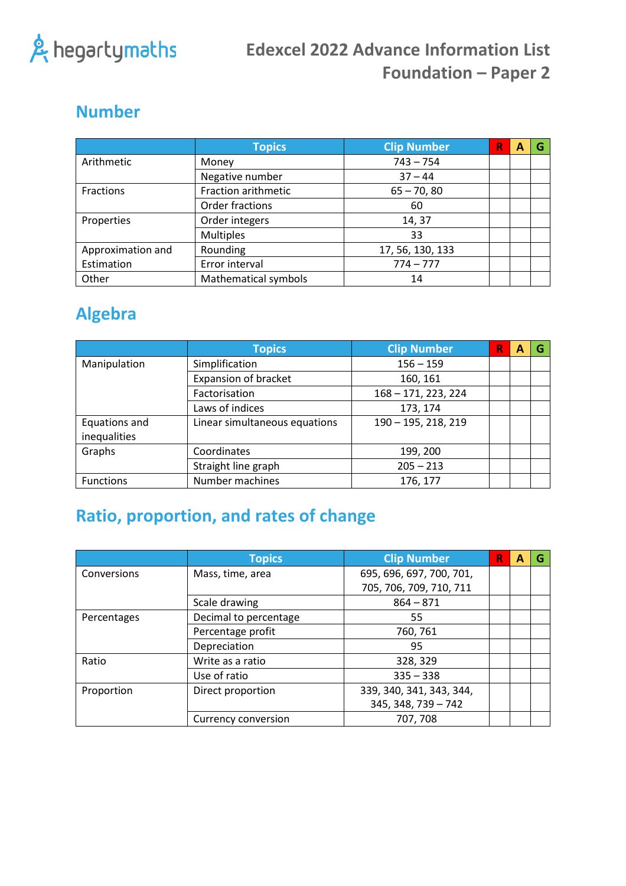

### **Number**

|                   | <b>Topics</b>        | <b>Clip Number</b> | R | А | G |
|-------------------|----------------------|--------------------|---|---|---|
| Arithmetic        | Money                | $743 - 754$        |   |   |   |
|                   | Negative number      | $37 - 44$          |   |   |   |
| <b>Fractions</b>  | Fraction arithmetic  | $65 - 70, 80$      |   |   |   |
|                   | Order fractions      | 60                 |   |   |   |
| Properties        | Order integers       | 14, 37             |   |   |   |
|                   | <b>Multiples</b>     | 33                 |   |   |   |
| Approximation and | Rounding             | 17, 56, 130, 133   |   |   |   |
| Estimation        | Error interval       | $774 - 777$        |   |   |   |
| Other             | Mathematical symbols | 14                 |   |   |   |

#### **Algebra**

|                  | <b>Topics</b>                 | <b>Clip Number</b>  | R | А | G |
|------------------|-------------------------------|---------------------|---|---|---|
| Manipulation     | Simplification                | $156 - 159$         |   |   |   |
|                  | <b>Expansion of bracket</b>   | 160, 161            |   |   |   |
|                  | Factorisation                 | 168 - 171, 223, 224 |   |   |   |
|                  | Laws of indices               | 173, 174            |   |   |   |
| Equations and    | Linear simultaneous equations | 190 - 195, 218, 219 |   |   |   |
| inequalities     |                               |                     |   |   |   |
| Graphs           | Coordinates                   | 199, 200            |   |   |   |
|                  | Straight line graph           | $205 - 213$         |   |   |   |
| <b>Functions</b> | Number machines               | 176, 177            |   |   |   |

# **Ratio, proportion, and rates of change**

|             | <b>Topics</b>         | <b>Clip Number</b>       | R | A | G |
|-------------|-----------------------|--------------------------|---|---|---|
| Conversions | Mass, time, area      | 695, 696, 697, 700, 701, |   |   |   |
|             |                       | 705, 706, 709, 710, 711  |   |   |   |
|             | Scale drawing         | $864 - 871$              |   |   |   |
| Percentages | Decimal to percentage | 55                       |   |   |   |
|             | Percentage profit     | 760, 761                 |   |   |   |
|             | Depreciation          | 95                       |   |   |   |
| Ratio       | Write as a ratio      | 328, 329                 |   |   |   |
|             | Use of ratio          | $335 - 338$              |   |   |   |
| Proportion  | Direct proportion     | 339, 340, 341, 343, 344, |   |   |   |
|             |                       | 345, 348, 739 - 742      |   |   |   |
|             | Currency conversion   | 707, 708                 |   |   |   |